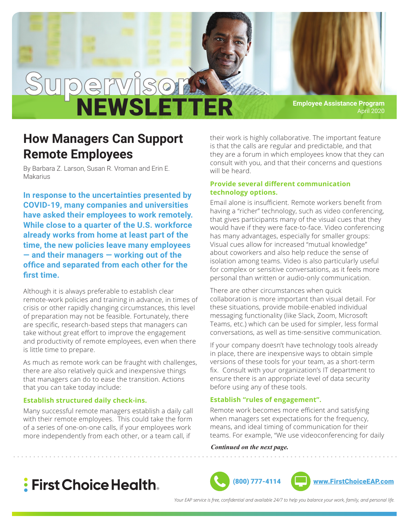

### **How Managers Can Support Remote Employees**

By Barbara Z. Larson, Susan R. Vroman and Erin E. Makarius

**Supervisor**

**In response to the uncertainties presented by COVID-19, many companies and universities have asked their employees to work remotely. While close to a quarter of the U.S. workforce already works from home at least part of the time, the new policies leave many employees — and their managers — working out of the office and separated from each other for the first time.**

Although it is always preferable to establish clear remote-work policies and training in advance, in times of crisis or other rapidly changing circumstances, this level of preparation may not be feasible. Fortunately, there are specific, research-based steps that managers can take without great effort to improve the engagement and productivity of remote employees, even when there is little time to prepare.

As much as remote work can be fraught with challenges, there are also relatively quick and inexpensive things that managers can do to ease the transition. Actions that you can take today include:

### **Establish structured daily check-ins.**

Many successful remote managers establish a daily call with their remote employees. This could take the form of a series of one-on-one calls, if your employees work more independently from each other, or a team call, if

their work is highly collaborative. The important feature is that the calls are regular and predictable, and that they are a forum in which employees know that they can consult with you, and that their concerns and questions will be heard.

### **Provide several different communication technology options.**

Email alone is insufficient. Remote workers benefit from having a "richer" technology, such as video conferencing, that gives participants many of the visual cues that they would have if they were face-to-face. Video conferencing has many advantages, especially for smaller groups: Visual cues allow for increased "mutual knowledge" about coworkers and also help reduce the sense of isolation among teams. Video is also particularly useful for complex or sensitive conversations, as it feels more personal than written or audio-only communication.

There are other circumstances when quick collaboration is more important than visual detail. For these situations, provide mobile-enabled individual messaging functionality (like Slack, Zoom, Microsoft Teams, etc.) which can be used for simpler, less formal conversations, as well as time-sensitive communication.

If your company doesn't have technology tools already in place, there are inexpensive ways to obtain simple versions of these tools for your team, as a short-term fix. Consult with your organization's IT department to ensure there is an appropriate level of data security before using any of these tools.

### **Establish "rules of engagement".**

Remote work becomes more efficient and satisfying when managers set expectations for the frequency, means, and ideal timing of communication for their teams. For example, "We use videoconferencing for daily

### *Continued on the next page.*

# **:** First Choice Health.



*Your EAP service is free, confidential and available 24/7 to help you balance your work, family, and personal life.*